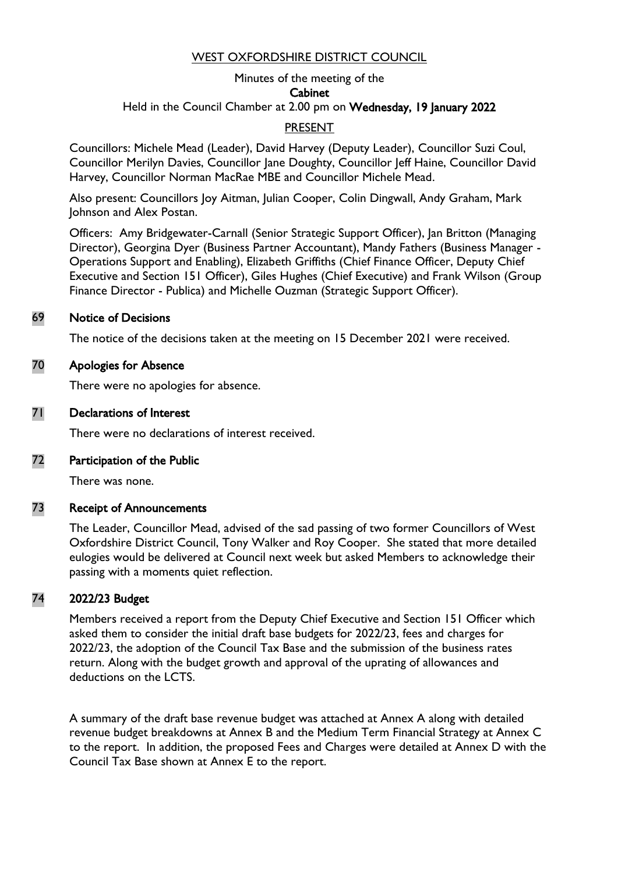## WEST OXFORDSHIRE DISTRICT COUNCIL

#### Minutes of the meeting of the **Cabinet** Held in the Council Chamber at 2.00 pm on Wednesday, 19 January 2022

## **PRESENT**

Councillors: Michele Mead (Leader), David Harvey (Deputy Leader), Councillor Suzi Coul, Councillor Merilyn Davies, Councillor Jane Doughty, Councillor Jeff Haine, Councillor David Harvey, Councillor Norman MacRae MBE and Councillor Michele Mead.

Also present: Councillors Joy Aitman, Julian Cooper, Colin Dingwall, Andy Graham, Mark Johnson and Alex Postan.

Officers: Amy Bridgewater-Carnall (Senior Strategic Support Officer), Jan Britton (Managing Director), Georgina Dyer (Business Partner Accountant), Mandy Fathers (Business Manager - Operations Support and Enabling), Elizabeth Griffiths (Chief Finance Officer, Deputy Chief Executive and Section 151 Officer), Giles Hughes (Chief Executive) and Frank Wilson (Group Finance Director - Publica) and Michelle Ouzman (Strategic Support Officer).

#### 69 Notice of Decisions

The notice of the decisions taken at the meeting on 15 December 2021 were received.

## 70 Apologies for Absence

There were no apologies for absence.

#### 71 Declarations of Interest

There were no declarations of interest received.

#### 72 Participation of the Public

There was none.

#### 73 Receipt of Announcements

The Leader, Councillor Mead, advised of the sad passing of two former Councillors of West Oxfordshire District Council, Tony Walker and Roy Cooper. She stated that more detailed eulogies would be delivered at Council next week but asked Members to acknowledge their passing with a moments quiet reflection.

## 74 2022/23 Budget

Members received a report from the Deputy Chief Executive and Section 151 Officer which asked them to consider the initial draft base budgets for 2022/23, fees and charges for 2022/23, the adoption of the Council Tax Base and the submission of the business rates return. Along with the budget growth and approval of the uprating of allowances and deductions on the LCTS.

A summary of the draft base revenue budget was attached at Annex A along with detailed revenue budget breakdowns at Annex B and the Medium Term Financial Strategy at Annex C to the report. In addition, the proposed Fees and Charges were detailed at Annex D with the Council Tax Base shown at Annex E to the report.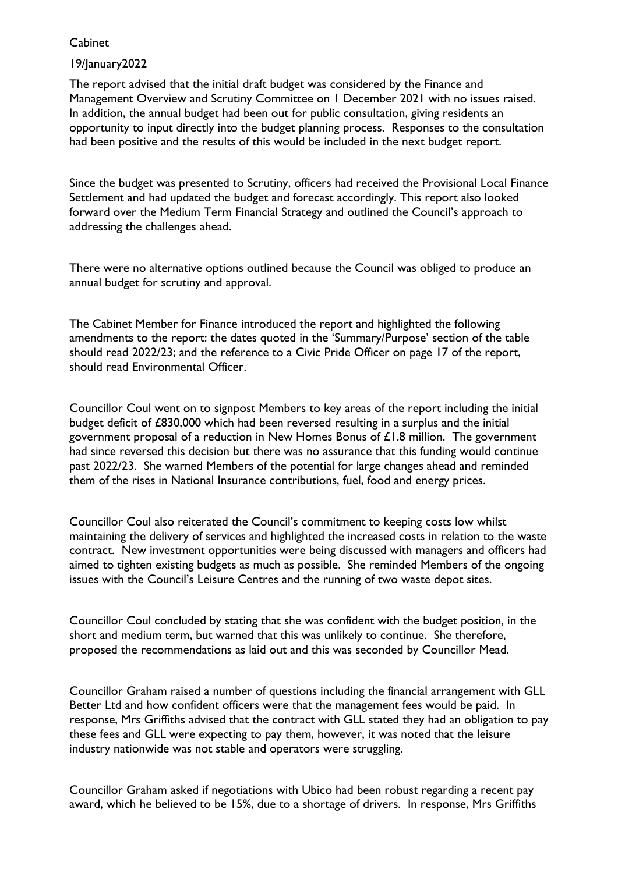## 19/January2022

The report advised that the initial draft budget was considered by the Finance and Management Overview and Scrutiny Committee on 1 December 2021 with no issues raised. In addition, the annual budget had been out for public consultation, giving residents an opportunity to input directly into the budget planning process. Responses to the consultation had been positive and the results of this would be included in the next budget report.

Since the budget was presented to Scrutiny, officers had received the Provisional Local Finance Settlement and had updated the budget and forecast accordingly. This report also looked forward over the Medium Term Financial Strategy and outlined the Council's approach to addressing the challenges ahead.

There were no alternative options outlined because the Council was obliged to produce an annual budget for scrutiny and approval.

The Cabinet Member for Finance introduced the report and highlighted the following amendments to the report: the dates quoted in the 'Summary/Purpose' section of the table should read 2022/23; and the reference to a Civic Pride Officer on page 17 of the report, should read Environmental Officer.

Councillor Coul went on to signpost Members to key areas of the report including the initial budget deficit of £830,000 which had been reversed resulting in a surplus and the initial government proposal of a reduction in New Homes Bonus of £1.8 million. The government had since reversed this decision but there was no assurance that this funding would continue past 2022/23. She warned Members of the potential for large changes ahead and reminded them of the rises in National Insurance contributions, fuel, food and energy prices.

Councillor Coul also reiterated the Council's commitment to keeping costs low whilst maintaining the delivery of services and highlighted the increased costs in relation to the waste contract. New investment opportunities were being discussed with managers and officers had aimed to tighten existing budgets as much as possible. She reminded Members of the ongoing issues with the Council's Leisure Centres and the running of two waste depot sites.

Councillor Coul concluded by stating that she was confident with the budget position, in the short and medium term, but warned that this was unlikely to continue. She therefore, proposed the recommendations as laid out and this was seconded by Councillor Mead.

Councillor Graham raised a number of questions including the financial arrangement with GLL Better Ltd and how confident officers were that the management fees would be paid. In response, Mrs Griffiths advised that the contract with GLL stated they had an obligation to pay these fees and GLL were expecting to pay them, however, it was noted that the leisure industry nationwide was not stable and operators were struggling.

Councillor Graham asked if negotiations with Ubico had been robust regarding a recent pay award, which he believed to be 15%, due to a shortage of drivers. In response, Mrs Griffiths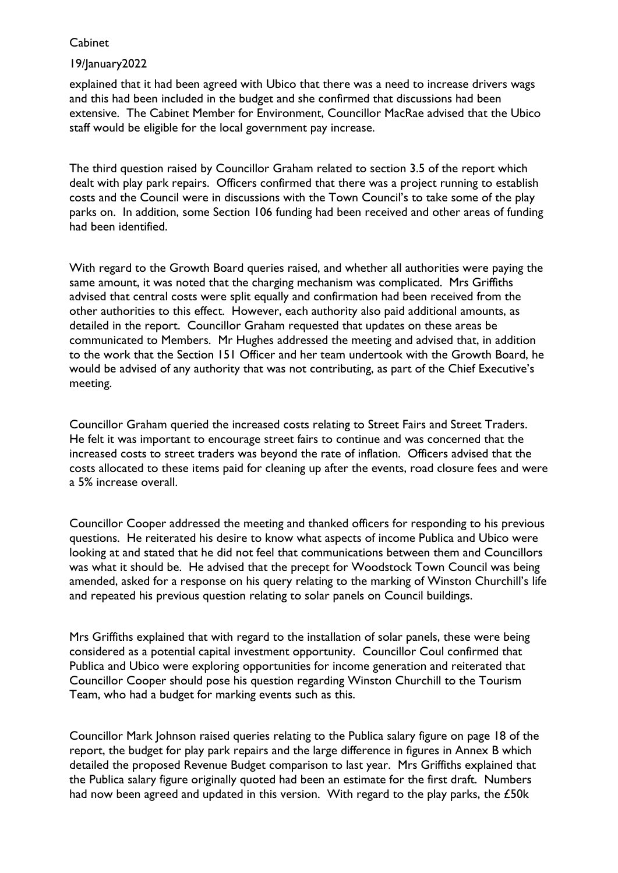## 19/January2022

explained that it had been agreed with Ubico that there was a need to increase drivers wags and this had been included in the budget and she confirmed that discussions had been extensive. The Cabinet Member for Environment, Councillor MacRae advised that the Ubico staff would be eligible for the local government pay increase.

The third question raised by Councillor Graham related to section 3.5 of the report which dealt with play park repairs. Officers confirmed that there was a project running to establish costs and the Council were in discussions with the Town Council's to take some of the play parks on. In addition, some Section 106 funding had been received and other areas of funding had been identified.

With regard to the Growth Board queries raised, and whether all authorities were paying the same amount, it was noted that the charging mechanism was complicated. Mrs Griffiths advised that central costs were split equally and confirmation had been received from the other authorities to this effect. However, each authority also paid additional amounts, as detailed in the report. Councillor Graham requested that updates on these areas be communicated to Members. Mr Hughes addressed the meeting and advised that, in addition to the work that the Section 151 Officer and her team undertook with the Growth Board, he would be advised of any authority that was not contributing, as part of the Chief Executive's meeting.

Councillor Graham queried the increased costs relating to Street Fairs and Street Traders. He felt it was important to encourage street fairs to continue and was concerned that the increased costs to street traders was beyond the rate of inflation. Officers advised that the costs allocated to these items paid for cleaning up after the events, road closure fees and were a 5% increase overall.

Councillor Cooper addressed the meeting and thanked officers for responding to his previous questions. He reiterated his desire to know what aspects of income Publica and Ubico were looking at and stated that he did not feel that communications between them and Councillors was what it should be. He advised that the precept for Woodstock Town Council was being amended, asked for a response on his query relating to the marking of Winston Churchill's life and repeated his previous question relating to solar panels on Council buildings.

Mrs Griffiths explained that with regard to the installation of solar panels, these were being considered as a potential capital investment opportunity. Councillor Coul confirmed that Publica and Ubico were exploring opportunities for income generation and reiterated that Councillor Cooper should pose his question regarding Winston Churchill to the Tourism Team, who had a budget for marking events such as this.

Councillor Mark Johnson raised queries relating to the Publica salary figure on page 18 of the report, the budget for play park repairs and the large difference in figures in Annex B which detailed the proposed Revenue Budget comparison to last year. Mrs Griffiths explained that the Publica salary figure originally quoted had been an estimate for the first draft. Numbers had now been agreed and updated in this version. With regard to the play parks, the £50k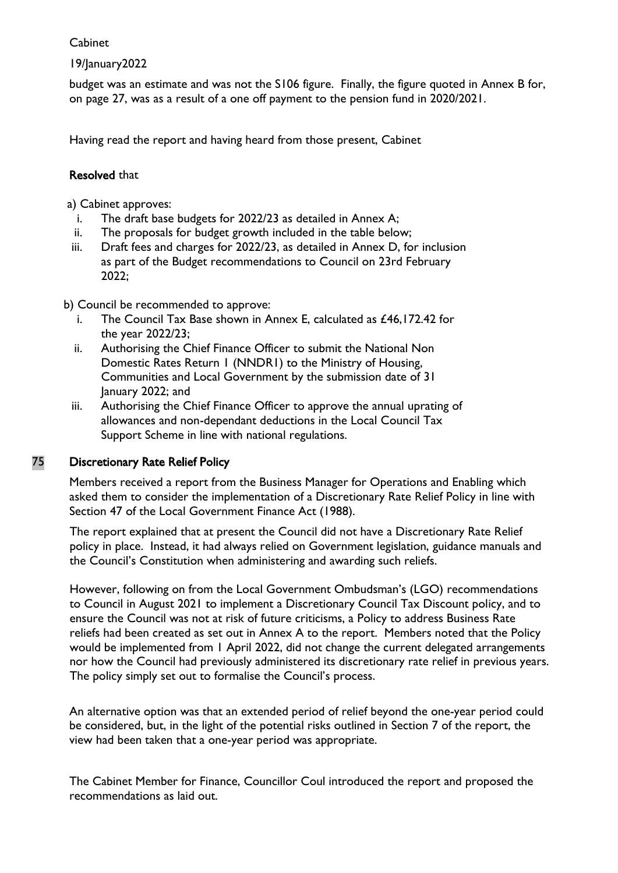# 19/January2022

budget was an estimate and was not the S106 figure. Finally, the figure quoted in Annex B for, on page 27, was as a result of a one off payment to the pension fund in 2020/2021.

Having read the report and having heard from those present, Cabinet

# Resolved that

a) Cabinet approves:

- i. The draft base budgets for 2022/23 as detailed in Annex A;
- ii. The proposals for budget growth included in the table below;
- iii. Draft fees and charges for 2022/23, as detailed in Annex D, for inclusion as part of the Budget recommendations to Council on 23rd February 2022;

b) Council be recommended to approve:

- i. The Council Tax Base shown in Annex E, calculated as £46,172.42 for the year 2022/23;
- ii. Authorising the Chief Finance Officer to submit the National Non Domestic Rates Return 1 (NNDR1) to the Ministry of Housing, Communities and Local Government by the submission date of 31 January 2022; and
- iii. Authorising the Chief Finance Officer to approve the annual uprating of allowances and non-dependant deductions in the Local Council Tax Support Scheme in line with national regulations.

# 75 Discretionary Rate Relief Policy

Members received a report from the Business Manager for Operations and Enabling which asked them to consider the implementation of a Discretionary Rate Relief Policy in line with Section 47 of the Local Government Finance Act (1988).

The report explained that at present the Council did not have a Discretionary Rate Relief policy in place. Instead, it had always relied on Government legislation, guidance manuals and the Council's Constitution when administering and awarding such reliefs.

However, following on from the Local Government Ombudsman's (LGO) recommendations to Council in August 2021 to implement a Discretionary Council Tax Discount policy, and to ensure the Council was not at risk of future criticisms, a Policy to address Business Rate reliefs had been created as set out in Annex A to the report. Members noted that the Policy would be implemented from 1 April 2022, did not change the current delegated arrangements nor how the Council had previously administered its discretionary rate relief in previous years. The policy simply set out to formalise the Council's process.

An alternative option was that an extended period of relief beyond the one-year period could be considered, but, in the light of the potential risks outlined in Section 7 of the report, the view had been taken that a one-year period was appropriate.

The Cabinet Member for Finance, Councillor Coul introduced the report and proposed the recommendations as laid out.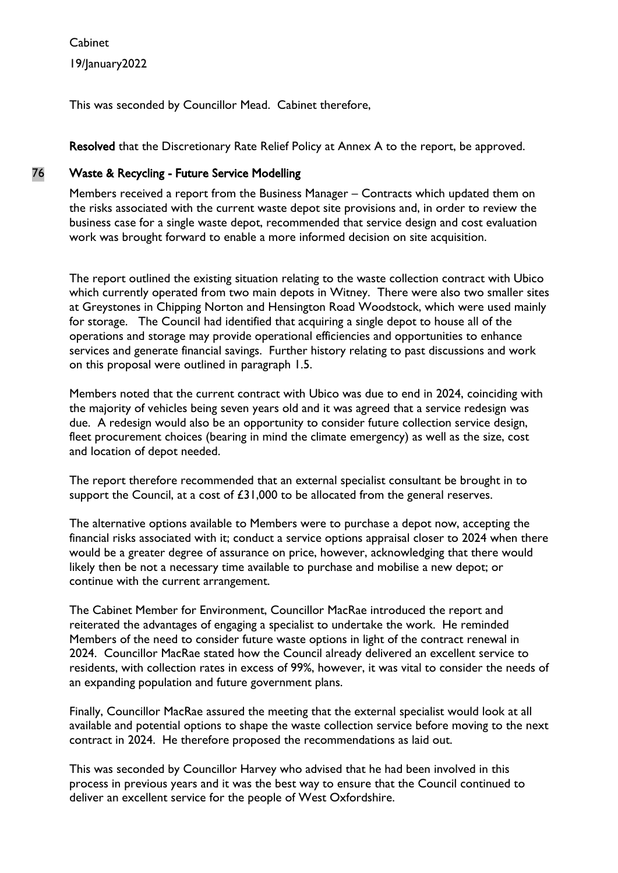Cabinet 19/January2022

This was seconded by Councillor Mead. Cabinet therefore,

Resolved that the Discretionary Rate Relief Policy at Annex A to the report, be approved.

# 76 Waste & Recycling - Future Service Modelling

Members received a report from the Business Manager – Contracts which updated them on the risks associated with the current waste depot site provisions and, in order to review the business case for a single waste depot, recommended that service design and cost evaluation work was brought forward to enable a more informed decision on site acquisition.

The report outlined the existing situation relating to the waste collection contract with Ubico which currently operated from two main depots in Witney. There were also two smaller sites at Greystones in Chipping Norton and Hensington Road Woodstock, which were used mainly for storage. The Council had identified that acquiring a single depot to house all of the operations and storage may provide operational efficiencies and opportunities to enhance services and generate financial savings. Further history relating to past discussions and work on this proposal were outlined in paragraph 1.5.

Members noted that the current contract with Ubico was due to end in 2024, coinciding with the majority of vehicles being seven years old and it was agreed that a service redesign was due. A redesign would also be an opportunity to consider future collection service design, fleet procurement choices (bearing in mind the climate emergency) as well as the size, cost and location of depot needed.

The report therefore recommended that an external specialist consultant be brought in to support the Council, at a cost of £31,000 to be allocated from the general reserves.

The alternative options available to Members were to purchase a depot now, accepting the financial risks associated with it; conduct a service options appraisal closer to 2024 when there would be a greater degree of assurance on price, however, acknowledging that there would likely then be not a necessary time available to purchase and mobilise a new depot; or continue with the current arrangement.

The Cabinet Member for Environment, Councillor MacRae introduced the report and reiterated the advantages of engaging a specialist to undertake the work. He reminded Members of the need to consider future waste options in light of the contract renewal in 2024. Councillor MacRae stated how the Council already delivered an excellent service to residents, with collection rates in excess of 99%, however, it was vital to consider the needs of an expanding population and future government plans.

Finally, Councillor MacRae assured the meeting that the external specialist would look at all available and potential options to shape the waste collection service before moving to the next contract in 2024. He therefore proposed the recommendations as laid out.

This was seconded by Councillor Harvey who advised that he had been involved in this process in previous years and it was the best way to ensure that the Council continued to deliver an excellent service for the people of West Oxfordshire.